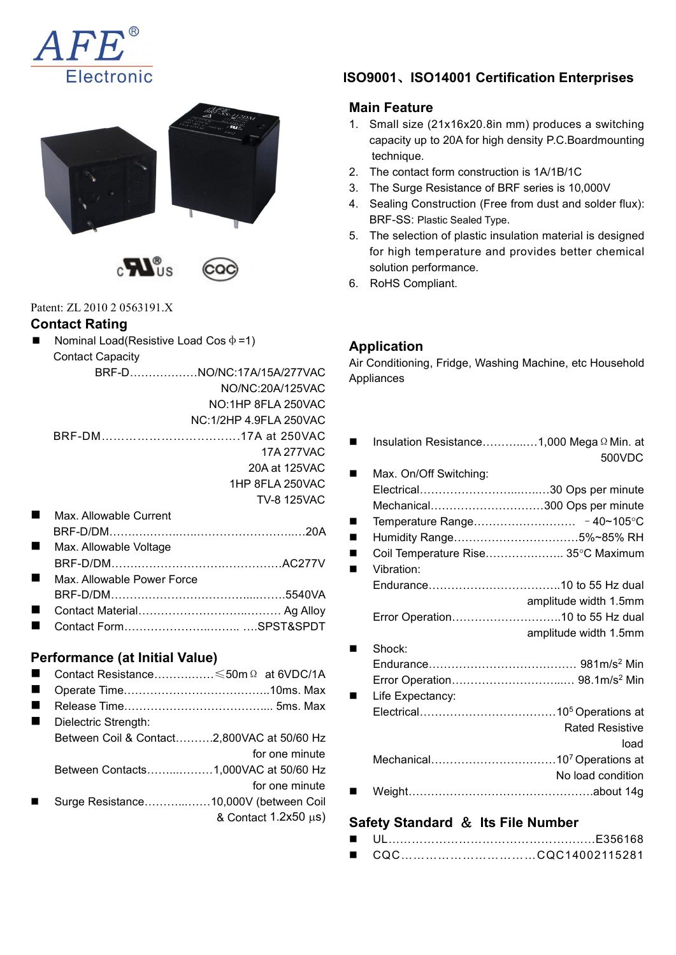







Patent: ZL 2010 2 0563191.X

#### **Contact Rating**

Nominal Load(Resistive Load Cos  $\phi = 1$ ) Contact Capacity

| Appliances             |                | BRF-DNO/NC:17A/15A/277VAC |
|------------------------|----------------|---------------------------|
|                        |                | NO/NC:20A/125VAC          |
|                        |                | NO:1HP 8FLA 250VAC        |
|                        |                | NC:1/2HP 4.9FLA 250VAC    |
| Insulation Resistance  | $\blacksquare$ |                           |
|                        |                | 17A 277VAC                |
| Max. On/Off Switching: |                | 20A at 125VAC             |
|                        |                | 1HP 8FLA 250VAC           |
|                        |                | <b>TV-8 125VAC</b>        |

|                | Max. Allowable Current     | ■ Temperature Range   |
|----------------|----------------------------|-----------------------|
|                |                            | ■ Humidity Range      |
|                | Max. Allowable Voltage     | Coil Temperature Rise |
|                |                            | Vibration:            |
| $\blacksquare$ | Max. Allowable Power Force | Endurance             |
|                |                            |                       |
|                |                            | Error Operation       |
|                |                            |                       |

#### **Performance (at Initial Value)**

- Contact Resistance……….……≤50mΩ at 6VDC/1A
- Operate Time………………………….……..10ms. Max
- Release Time……………………………….... 5ms. Max
- Dielectric Strength: Between Coil & Contact……….2,800VAC at 50/60 Hz for one minute Between Contacts……...………1,000VAC at 50/60 Hz for one minute
- Surge Resistance………………10,000V (between Coil  $&$  Contact 1.2x50  $\mu$ s)

# **ISO9001**、**ISO14001 Certification Enterprises**

# **Main Feature**

- 1. Small size (21x16x20.8in mm) produces a switching capacity up to 20A for high density P.C.Boardmounting technique.
- 2. The contact form construction is 1A/1B/1C
- 3. The Surge Resistance of BRF series is 10,000V
- 4. Sealing Construction (Free from dust and solder flux): BRF-SS: Plastic Sealed Type.
- 5. The selection of plastic insulation material is designed for high temperature and provides better chemical solution performance.
- 6. RoHS Compliant.

### **Application**

Air Conditioning, Fridge, Washing Machine, etc Household

| Insulation Resistance1,000 Mega Ω Min. at                  | …17A at 250VAC<br>17A 277VAC |
|------------------------------------------------------------|------------------------------|
| 500VDC<br>Max. On/Off Switching:                           | 20A at 125VAC                |
|                                                            | 1HP 8FLA 250VAC              |
| Mechanical300 Ops per minute                               | <b>TV-8 125VAC</b>           |
| ■                                                          |                              |
|                                                            |                              |
| Coil Temperature Rise 35°C Maximum<br>п<br>Vibration:<br>■ | AC277V                       |
|                                                            |                              |
| amplitude width 1.5mm                                      | 5540VA                       |
|                                                            | Ag Alloy<br>SPST&SPDT        |
| amplitude width 1.5mm                                      |                              |
| Shock:                                                     |                              |
|                                                            | $50m \Omega$ at 6VDC/1A      |
|                                                            | 10ms. Max                    |
| Life Expectancy:                                           | 5ms. Max                     |
|                                                            |                              |
| <b>Rated Resistive</b>                                     | 00VAC at 50/60 Hz            |
| load                                                       | for one minute               |
|                                                            | 00VAC at 50/60 Hz            |
| No load condition                                          | for one minute               |
|                                                            | $0.0011/$ k at $0.001$       |

### **Safety Standard** & **Its File Number**

|  | CQCCQC14002115281 |
|--|-------------------|